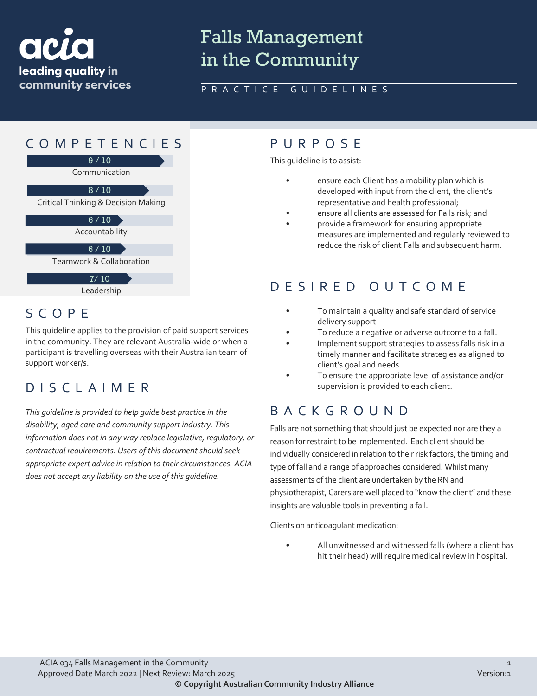

# Falls Management in the Community

#### PRACTICE GUIDELINES

### COMPETENCIES PURPOS E



7/ 10

Leadership

### SCOPE

This guideline applies to the provision of paid support services in the community. They are relevant Australia-wide or when a participant is travelling overseas with their Australian team of support worker/s.

### DISCLAIMER

*This guideline is provided to help guide best practice in the disability, aged care and community support industry. This information does not in any way replace legislative, regulatory, or contractual requirements. Users of this document should seek appropriate expert advice in relation to their circumstances. ACIA does not accept any liability on the use of this guideline.*

This guideline is to assist:

- ensure each Client has a mobility plan which is developed with input from the client, the client's representative and health professional;
- ensure all clients are assessed for Falls risk; and
- provide a framework for ensuring appropriate measures are implemented and regularly reviewed to reduce the risk of client Falls and subsequent harm.

## DESIRED OUTCOME

- To maintain a quality and safe standard of service delivery support
- To reduce a negative or adverse outcome to a fall.
- Implement support strategies to assess falls risk in a timely manner and facilitate strategies as aligned to client's goal and needs.
- To ensure the appropriate level of assistance and/or supervision is provided to each client.

### BACKGROUND

Falls are not something that should just be expected nor are they a reason for restraint to be implemented. Each client should be individually considered in relation to their risk factors, the timing and type of fall and a range of approaches considered. Whilst many assessments of the client are undertaken by the RN and physiotherapist, Carers are well placed to "know the client" and these insights are valuable tools in preventing a fall.

Clients on anticoagulant medication:

All unwitnessed and witnessed falls (where a client has hit their head) will require medical review in hospital.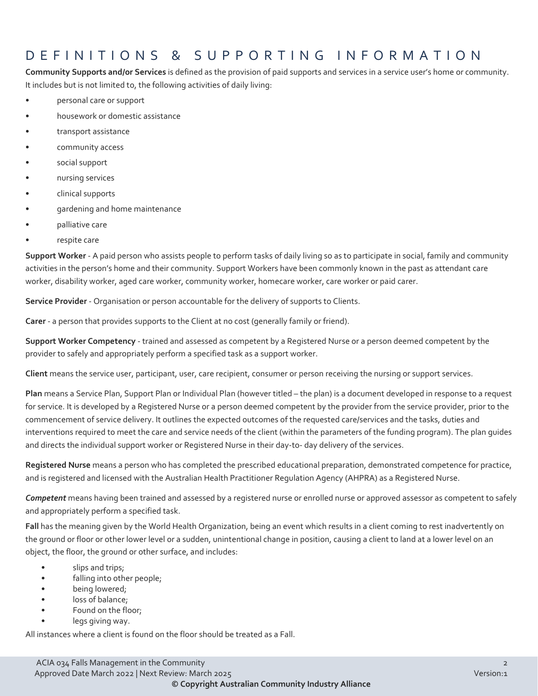### DEFINITIONS & SUPPORTING INFORMATIO N

**Community Supports and/or Services** is defined as the provision of paid supports and services in a service user's home or community. It includes but is not limited to, the following activities of daily living:

- personal care or support
- housework or domestic assistance
- transport assistance
- community access
- social support
- nursing services
- clinical supports
- gardening and home maintenance
- palliative care
- respite care

**Support Worker** - A paid person who assists people to perform tasks of daily living so as to participate in social, family and community activities in the person's home and their community. Support Workers have been commonly known in the past as attendant care worker, disability worker, aged care worker, community worker, homecare worker, care worker or paid carer.

**Service Provider** - Organisation or person accountable for the delivery of supports to Clients.

**Carer** - a person that provides supports to the Client at no cost (generally family or friend).

**Support Worker Competency** - trained and assessed as competent by a Registered Nurse or a person deemed competent by the provider to safely and appropriately perform a specified task as a support worker.

**Client** means the service user, participant, user, care recipient, consumer or person receiving the nursing or support services.

**Plan** means a Service Plan, Support Plan or Individual Plan (however titled – the plan) is a document developed in response to a request for service. It is developed by a Registered Nurse or a person deemed competent by the provider from the service provider, prior to the commencement of service delivery. It outlines the expected outcomes of the requested care/services and the tasks, duties and interventions required to meet the care and service needs of the client (within the parameters of the funding program). The plan guides and directs the individual support worker or Registered Nurse in their day-to- day delivery of the services.

**Registered Nurse** means a person who has completed the prescribed educational preparation, demonstrated competence for practice, and is registered and licensed with the Australian Health Practitioner Regulation Agency (AHPRA) as a Registered Nurse.

*Competent* means having been trained and assessed by a registered nurse or enrolled nurse or approved assessor as competent to safely and appropriately perform a specified task.

**Fall** has the meaning given by the World Health Organization, being an event which results in a client coming to rest inadvertently on the ground or floor or other lower level or a sudden, unintentional change in position, causing a client to land at a lower level on an object, the floor, the ground or other surface, and includes:

- slips and trips;
- falling into other people;
- being lowered;
- loss of balance;
- Found on the floor;
- legs giving way.

All instances where a client is found on the floor should be treated as a Fall.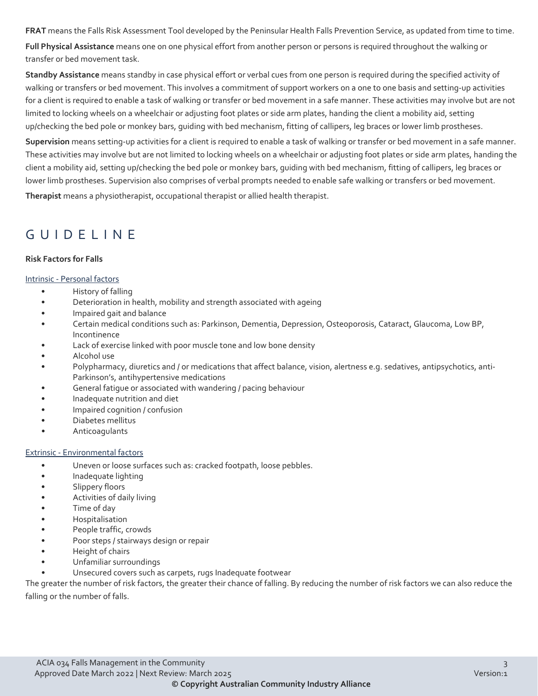**FRAT** means the Falls Risk Assessment Tool developed by the Peninsular Health Falls Prevention Service, as updated from time to time.

**Full Physical Assistance** means one on one physical effort from another person or persons is required throughout the walking or transfer or bed movement task.

**Standby Assistance** means standby in case physical effort or verbal cues from one person is required during the specified activity of walking or transfers or bed movement. This involves a commitment of support workers on a one to one basis and setting-up activities for a client is required to enable a task of walking or transfer or bed movement in a safe manner. These activities may involve but are not limited to locking wheels on a wheelchair or adjusting foot plates or side arm plates, handing the client a mobility aid, setting up/checking the bed pole or monkey bars, guiding with bed mechanism, fitting of callipers, leg braces or lower limb prostheses.

**Supervision** means setting-up activities for a client is required to enable a task of walking or transfer or bed movement in a safe manner. These activities may involve but are not limited to locking wheels on a wheelchair or adjusting foot plates or side arm plates, handing the client a mobility aid, setting up/checking the bed pole or monkey bars, guiding with bed mechanism, fitting of callipers, leg braces or lower limb prostheses. Supervision also comprises of verbal prompts needed to enable safe walking or transfers or bed movement.

**Therapist** means a physiotherapist, occupational therapist or allied health therapist.

## GUIDELINE

#### **Risk Factors for Falls**

#### Intrinsic - Personal factors

- History of falling
- Deterioration in health, mobility and strength associated with ageing
- Impaired gait and balance
- Certain medical conditions such as: Parkinson, Dementia, Depression, Osteoporosis, Cataract, Glaucoma, Low BP, Incontinence
- Lack of exercise linked with poor muscle tone and low bone density
- Alcohol use
- Polypharmacy, diuretics and / or medications that affect balance, vision, alertness e.g. sedatives, antipsychotics, anti-Parkinson's, antihypertensive medications
- General fatigue or associated with wandering / pacing behaviour
- Inadequate nutrition and diet
- Impaired cognition / confusion
- Diabetes mellitus
- **Anticoagulants**

#### Extrinsic - Environmental factors

- Uneven or loose surfaces such as: cracked footpath, loose pebbles.
- Inadequate lighting
- Slippery floors
- Activities of daily living
- Time of day
- Hospitalisation
- People traffic, crowds
- Poor steps / stairways design or repair
- Height of chairs
- Unfamiliar surroundings
- Unsecured covers such as carpets, rugs Inadequate footwear

The greater the number of risk factors, the greater their chance of falling. By reducing the number of risk factors we can also reduce the falling or the number of falls.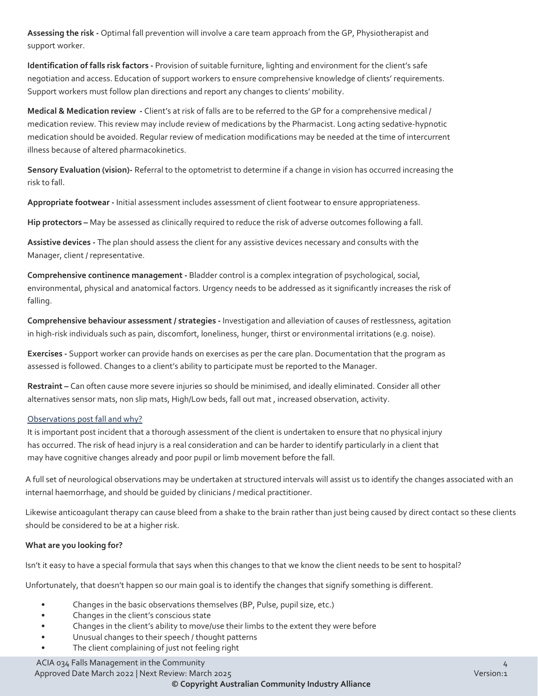**Assessing the risk -** Optimal fall prevention will involve a care team approach from the GP, Physiotherapist and support worker.

**Identification of falls risk factors -** Provision of suitable furniture, lighting and environment for the client's safe negotiation and access. Education of support workers to ensure comprehensive knowledge of clients' requirements. Support workers must follow plan directions and report any changes to clients' mobility.

**Medical & Medication review -** Client's at risk of falls are to be referred to the GP for a comprehensive medical / medication review. This review may include review of medications by the Pharmacist. Long acting sedative-hypnotic medication should be avoided. Regular review of medication modifications may be needed at the time of intercurrent illness because of altered pharmacokinetics.

**Sensory Evaluation (vision)-** Referral to the optometrist to determine if a change in vision has occurred increasing the risk to fall.

**Appropriate footwear -** Initial assessment includes assessment of client footwear to ensure appropriateness.

**Hip protectors –** May be assessed as clinically required to reduce the risk of adverse outcomes following a fall.

**Assistive devices -** The plan should assess the client for any assistive devices necessary and consults with the Manager, client / representative.

**Comprehensive continence management -** Bladder control is a complex integration of psychological, social, environmental, physical and anatomical factors. Urgency needs to be addressed as it significantly increases the risk of falling.

**Comprehensive behaviour assessment / strategies -** Investigation and alleviation of causes of restlessness, agitation in high-risk individuals such as pain, discomfort, loneliness, hunger, thirst or environmental irritations (e.g. noise).

**Exercises -** Support worker can provide hands on exercises as per the care plan. Documentation that the program as assessed is followed. Changes to a client's ability to participate must be reported to the Manager.

**Restraint –** Can often cause more severe injuries so should be minimised, and ideally eliminated. Consider all other alternatives sensor mats, non slip mats, High/Low beds, fall out mat , increased observation, activity.

#### Observations post fall and why?

It is important post incident that a thorough assessment of the client is undertaken to ensure that no physical injury has occurred. The risk of head injury is a real consideration and can be harder to identify particularly in a client that may have cognitive changes already and poor pupil or limb movement before the fall.

A full set of neurological observations may be undertaken at structured intervals will assist us to identify the changes associated with an internal haemorrhage, and should be guided by clinicians / medical practitioner.

Likewise anticoagulant therapy can cause bleed from a shake to the brain rather than just being caused by direct contact so these clients should be considered to be at a higher risk.

#### **What are you looking for?**

Isn't it easy to have a special formula that says when this changes to that we know the client needs to be sent to hospital?

Unfortunately, that doesn't happen so our main goal is to identify the changes that signify something is different.

- Changes in the basic observations themselves (BP, Pulse, pupil size, etc.)
- Changes in the client's conscious state
- Changes in the client's ability to move/use their limbs to the extent they were before
- Unusual changes to their speech / thought patterns
- The client complaining of just not feeling right

ACIA 034 Falls Management in the Community 4 ACIA 034 Falls Management in the Community 4 ACIA 034 Falls Management in the Community Approved Date March 2022 | Next Review: March 2025 Version:1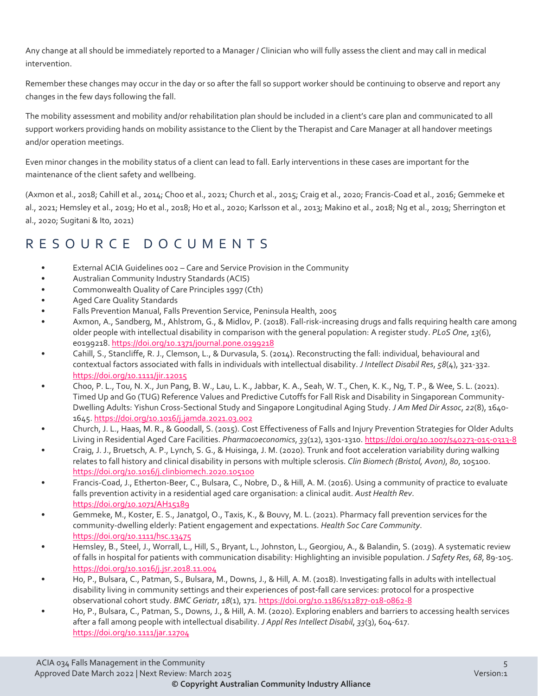Any change at all should be immediately reported to a Manager / Clinician who will fully assess the client and may call in medical intervention.

Remember these changes may occur in the day or so after the fall so support worker should be continuing to observe and report any changes in the few days following the fall.

The mobility assessment and mobility and/or rehabilitation plan should be included in a client's care plan and communicated to all support workers providing hands on mobility assistance to the Client by the Therapist and Care Manager at all handover meetings and/or operation meetings.

Even minor changes in the mobility status of a client can lead to fall. Early interventions in these cases are important for the maintenance of the client safety and wellbeing.

(Axmon et al., 2018; Cahill et al., 2014; Choo et al., 2021; Church et al., 2015; Craig et al., 2020; Francis-Coad et al., 2016; Gemmeke et al., 2021; Hemsley et al., 2019; Ho et al., 2018; Ho et al., 2020; Karlsson et al., 2013; Makino et al., 2018; Ng et al., 2019; Sherrington et al., 2020; Sugitani & Ito, 2021)

### RESOURCE DOCUMENTS

- External ACIA Guidelines 002 Care and Service Provision in the Community
- Australian Community Industry Standards (ACIS)
- Commonwealth Quality of Care Principles 1997 (Cth)
- Aged Care Quality Standards
- Falls Prevention Manual, Falls Prevention Service, Peninsula Health, 2005
- Axmon, A., Sandberg, M., Ahlstrom, G., & Midlov, P. (2018). Fall-risk-increasing drugs and falls requiring health care among older people with intellectual disability in comparison with the general population: A register study. *PLoS One*, *13*(6), e0199218[. https://doi.org/10.1371/journal.pone.0199218](https://doi.org/10.1371/journal.pone.0199218)
- Cahill, S., Stancliffe, R. J., Clemson, L., & Durvasula, S. (2014). Reconstructing the fall: individual, behavioural and contextual factors associated with falls in individuals with intellectual disability. *J Intellect Disabil Res*, *58*(4), 321-332. <https://doi.org/10.1111/jir.12015>
- Choo, P. L., Tou, N. X., Jun Pang, B. W., Lau, L. K., Jabbar, K. A., Seah, W. T., Chen, K. K., Ng, T. P., & Wee, S. L. (2021). Timed Up and Go (TUG) Reference Values and Predictive Cutoffs for Fall Risk and Disability in Singaporean Community-Dwelling Adults: Yishun Cross-Sectional Study and Singapore Longitudinal Aging Study. *J Am Med Dir Assoc*, *22*(8), 1640- 1645[. https://doi.org/10.1016/j.jamda.2021.03.002](https://doi.org/10.1016/j.jamda.2021.03.002)
- Church, J. L., Haas, M. R., & Goodall, S. (2015). Cost Effectiveness of Falls and Injury Prevention Strategies for Older Adults Living in Residential Aged Care Facilities. *Pharmacoeconomics*, *33*(12), 1301-1310[. https://doi.org/10.1007/s40273-015-0313-8](https://doi.org/10.1007/s40273-015-0313-8)
- Craig, J. J., Bruetsch, A. P., Lynch, S. G., & Huisinga, J. M. (2020). Trunk and foot acceleration variability during walking relates to fall history and clinical disability in persons with multiple sclerosis. *Clin Biomech (Bristol, Avon)*, *80*, 105100. <https://doi.org/10.1016/j.clinbiomech.2020.105100>
- Francis-Coad, J., Etherton-Beer, C., Bulsara, C., Nobre, D., & Hill, A. M. (2016). Using a community of practice to evaluate falls prevention activity in a residential aged care organisation: a clinical audit. *Aust Health Rev*. <https://doi.org/10.1071/AH15189>
- Gemmeke, M., Koster, E. S., Janatgol, O., Taxis, K., & Bouvy, M. L. (2021). Pharmacy fall prevention services for the community-dwelling elderly: Patient engagement and expectations. *Health Soc Care Community*. <https://doi.org/10.1111/hsc.13475>
- Hemsley, B., Steel, J., Worrall, L., Hill, S., Bryant, L., Johnston, L., Georgiou, A., & Balandin, S. (2019). A systematic review of falls in hospital for patients with communication disability: Highlighting an invisible population. *J Safety Res*, *68*, 89-105. <https://doi.org/10.1016/j.jsr.2018.11.004>
- Ho, P., Bulsara, C., Patman, S., Bulsara, M., Downs, J., & Hill, A. M. (2018). Investigating falls in adults with intellectual disability living in community settings and their experiences of post-fall care services: protocol for a prospective observational cohort study. *BMC Geriatr*, *18*(1), 171[. https://doi.org/10.1186/s12877-018-0862-8](https://doi.org/10.1186/s12877-018-0862-8)
- Ho, P., Bulsara, C., Patman, S., Downs, J., & Hill, A. M. (2020). Exploring enablers and barriers to accessing health services after a fall among people with intellectual disability. *J Appl Res Intellect Disabil*, *33*(3), 604-617. <https://doi.org/10.1111/jar.12704>